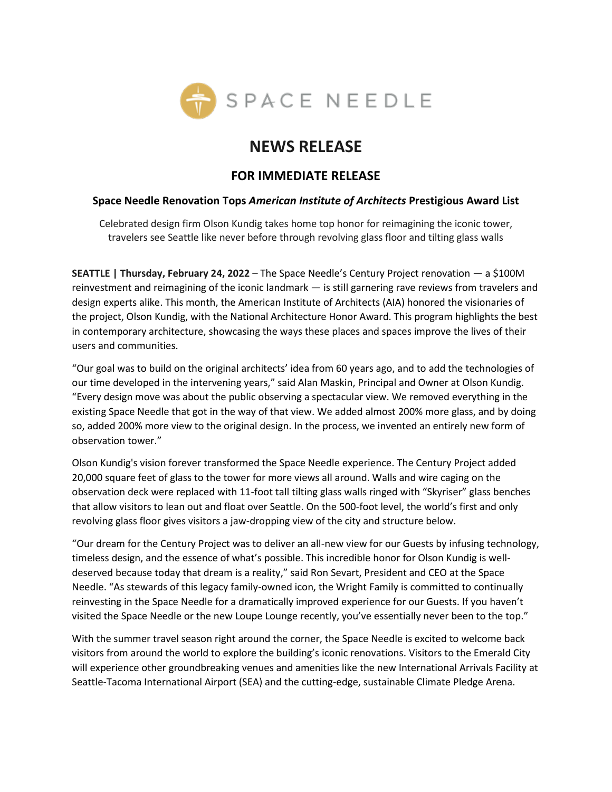

# **NEWS RELEASE**

## **FOR IMMEDIATE RELEASE**

## **Space Needle Renovation Tops** *American Institute of Architects* **Prestigious Award List**

Celebrated design firm Olson Kundig takes home top honor for reimagining the iconic tower, travelers see Seattle like never before through revolving glass floor and tilting glass walls

**SEATTLE | Thursday, February 24, 2022** – The Space Needle's Century Project renovation — a \$100M reinvestment and reimagining of the iconic landmark — is still garnering rave reviews from travelers and design experts alike. This month, the American Institute of Architects (AIA) honored the visionaries of the project, Olson Kundig, with the National Architecture Honor Award. This program highlights the best in contemporary architecture, showcasing the ways these places and spaces improve the lives of their users and communities.

"Our goal was to build on the original architects' idea from 60 years ago, and to add the technologies of our time developed in the intervening years," said Alan Maskin, Principal and Owner at Olson Kundig. "Every design move was about the public observing a spectacular view. We removed everything in the existing Space Needle that got in the way of that view. We added almost 200% more glass, and by doing so, added 200% more view to the original design. In the process, we invented an entirely new form of observation tower."

Olson Kundig's vision forever transformed the Space Needle experience. The Century Project added 20,000 square feet of glass to the tower for more views all around. Walls and wire caging on the observation deck were replaced with 11-foot tall tilting glass walls ringed with "Skyriser" glass benches that allow visitors to lean out and float over Seattle. On the 500-foot level, the world's first and only revolving glass floor gives visitors a jaw-dropping view of the city and structure below.

"Our dream for the Century Project was to deliver an all-new view for our Guests by infusing technology, timeless design, and the essence of what's possible. This incredible honor for Olson Kundig is welldeserved because today that dream is a reality," said Ron Sevart, President and CEO at the Space Needle. "As stewards of this legacy family-owned icon, the Wright Family is committed to continually reinvesting in the Space Needle for a dramatically improved experience for our Guests. If you haven't visited the Space Needle or the new Loupe Lounge recently, you've essentially never been to the top."

With the summer travel season right around the corner, the Space Needle is excited to welcome back visitors from around the world to explore the building's iconic renovations. Visitors to the Emerald City will experience other groundbreaking venues and amenities like the new International Arrivals Facility at Seattle-Tacoma International Airport (SEA) and the cutting-edge, sustainable Climate Pledge Arena.